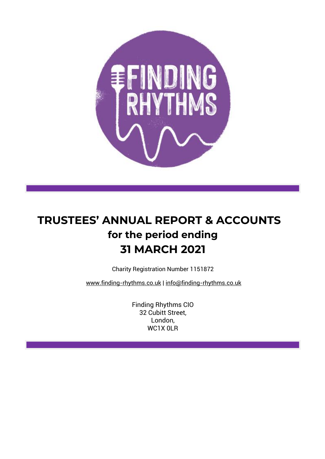

# **TRUSTEES' ANNUAL REPORT & ACCOUNTS for the period ending 31 MARCH 2021**

Charity Registration Number 1151872

[www.finding-rhythms.co.uk](http://www.finding-rhythms.co.uk/) | [info@finding-rhythms.co.uk](mailto:info@finding-rhythms.co.uk)

Finding Rhythms CIO 32 Cubitt Street, London, WC1X 0LR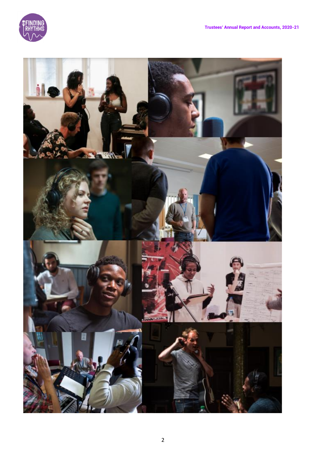

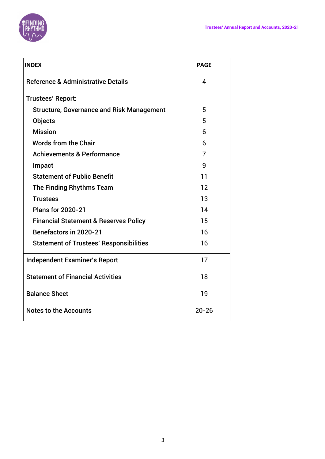

| <b>INDEX</b>                                     | <b>PAGE</b> |
|--------------------------------------------------|-------------|
| Reference & Administrative Details               | 4           |
| <b>Trustees' Report:</b>                         |             |
| <b>Structure, Governance and Risk Management</b> | 5           |
| Objects                                          | 5           |
| <b>Mission</b>                                   | 6           |
| <b>Words from the Chair</b>                      | 6           |
| <b>Achievements &amp; Performance</b>            | 7           |
| Impact                                           | 9           |
| <b>Statement of Public Benefit</b>               | 11          |
| <b>The Finding Rhythms Team</b>                  | 12          |
| <b>Trustees</b>                                  | 13          |
| <b>Plans for 2020-21</b>                         | 14          |
| <b>Financial Statement &amp; Reserves Policy</b> | 15          |
| <b>Benefactors in 2020-21</b>                    | 16          |
| <b>Statement of Trustees' Responsibilities</b>   | 16          |
| <b>Independent Examiner's Report</b>             | 17          |
| <b>Statement of Financial Activities</b>         | 18          |
| <b>Balance Sheet</b>                             | 19          |
| <b>Notes to the Accounts</b>                     | $20 - 26$   |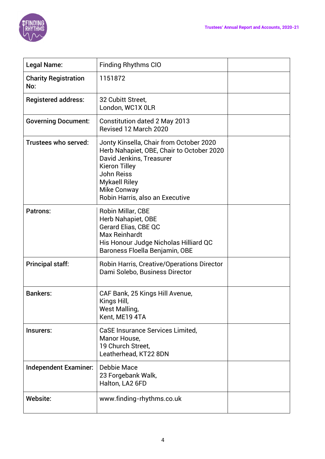

| Legal Name:                        | <b>Finding Rhythms CIO</b>                                                                                                                                                                                                              |  |
|------------------------------------|-----------------------------------------------------------------------------------------------------------------------------------------------------------------------------------------------------------------------------------------|--|
| <b>Charity Registration</b><br>No: | 1151872                                                                                                                                                                                                                                 |  |
| <b>Registered address:</b>         | 32 Cubitt Street,<br>London, WC1X 0LR                                                                                                                                                                                                   |  |
| <b>Governing Document:</b>         | <b>Constitution dated 2 May 2013</b><br>Revised 12 March 2020                                                                                                                                                                           |  |
| Trustees who served:               | Jonty Kinsella, Chair from October 2020<br>Herb Nahapiet, OBE, Chair to October 2020<br>David Jenkins, Treasurer<br><b>Kieron Tilley</b><br><b>John Reiss</b><br><b>Mykaell Riley</b><br>Mike Conway<br>Robin Harris, also an Executive |  |
| <b>Patrons:</b>                    | Robin Millar, CBE<br>Herb Nahapiet, OBE<br>Gerard Elias, CBE QC<br><b>Max Reinhardt</b><br>His Honour Judge Nicholas Hilliard QC<br>Baroness Floella Benjamin, OBE                                                                      |  |
| <b>Principal staff:</b>            | <b>Robin Harris, Creative/Operations Director</b><br>Dami Solebo, Business Director                                                                                                                                                     |  |
| <b>Bankers:</b>                    | CAF Bank, 25 Kings Hill Avenue,<br>Kings Hill<br><b>West Malling,</b><br>Kent, ME19 4TA                                                                                                                                                 |  |
| Insurers:                          | <b>CaSE Insurance Services Limited,</b><br>Manor House,<br>19 Church Street,<br>Leatherhead, KT22 8DN                                                                                                                                   |  |
| <b>Independent Examiner:</b>       | Debbie Mace<br>23 Forgebank Walk,<br>Halton, LA2 6FD                                                                                                                                                                                    |  |
| <b>Website:</b>                    | www.finding-rhythms.co.uk                                                                                                                                                                                                               |  |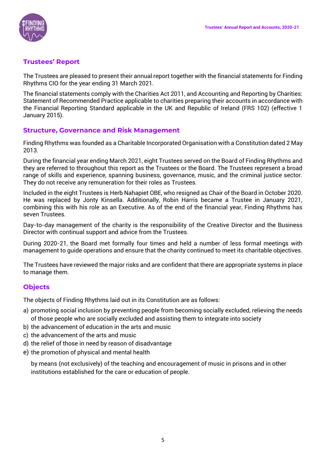

# **Trustees' Report**

The Trustees are pleased to present their annual report together with the financial statements for Finding Rhythms CIO for the year ending 31 March 2021.

The financial statements comply with the Charities Act 2011, and Accounting and Reporting by Charities: Statement of Recommended Practice applicable to charities preparing their accounts in accordance with the Financial Reporting Standard applicable in the UK and Republic of Ireland (FRS 102) (effective 1 January 2015).

# **Structure, Governance and Risk Management**

Finding Rhythms was founded as a Charitable Incorporated Organisation with a Constitution dated 2 May 2013.

During the financial year ending March 2021, eight Trustees served on the Board of Finding Rhythms and they are referred to throughout this report as the Trustees or the Board. The Trustees represent a broad range of skills and experience, spanning business, governance, music, and the criminal justice sector. They do not receive any remuneration for their roles as Trustees.

Included in the eight Trustees is Herb Nahapiet OBE, who resigned as Chair of the Board in October 2020. He was replaced by Jonty Kinsella. Additionally, Robin Harris became a Trustee in January 2021, combining this with his role as an Executive. As of the end of the financial year, Finding Rhythms has seven Trustees.

Day-to-day management of the charity is the responsibility of the Creative Director and the Business Director with continual support and advice from the Trustees.

During 2020-21, the Board met formally four times and held a number of less formal meetings with management to guide operations and ensure that the charity continued to meet its charitable objectives.

The Trustees have reviewed the major risks and are confident that there are appropriate systems in place to manage them.

# **Objects**

The objects of Finding Rhythms laid out in its Constitution are as follows:

- a) promoting social inclusion by preventing people from becoming socially excluded, relieving the needs of those people who are socially excluded and assisting them to integrate into society
- b) the advancement of education in the arts and music
- c) the advancement of the arts and music
- d) the relief of those in need by reason of disadvantage
- e) the promotion of physical and mental health

by means (not exclusively) of the teaching and encouragement of music in prisons and in other institutions established for the care or education of people.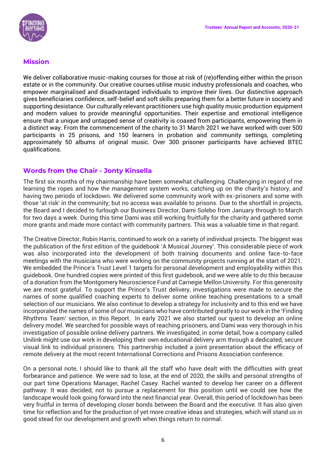

# **Mission**

We deliver collaborative music-making courses for those at risk of (re)offending either within the prison estate or in the community. Our creative courses utilise music industry professionals and coaches, who empower marginalised and disadvantaged individuals to improve their lives. Our distinctive approach gives beneficiaries confidence, self-belief and soft skills preparing them for a better future in society and supporting desistance. Our culturally relevant practitioners use high quality music production equipment and modern values to provide meaningful opportunities. Their expertise and emotional intelligence ensure that a unique and untapped sense of creativity is coaxed from participants, empowering them in a distinct way. From the commencement of the charity to 31 March 2021 we have worked with over 500 participants in 25 prisons, and 150 learners in probation and community settings, completing approximately 50 albums of original music. Over 300 prisoner participants have achieved BTEC qualifications.

# **Words from the Chair - Jonty Kinsella**

The first six months of my chairmanship have been somewhat challenging. Challenging in regard of me learning the ropes and how the management system works, catching up on the charity's history, and having two periods of lockdown. We delivered some community work with ex-prisoners and some with those 'at risk' in the community; but no access was available to prisons. Due to the shortfall in projects, the Board and I decided to furlough our Business Director, Dami Solebo from January through to March for two days a week. During this time Dami was still working fruitfully for the charity and gathered some more grants and made more contact with community partners. This was a valuable time in that regard.

The Creative Director, Robin Harris, continued to work on a variety of individual projects. The biggest was the publication of the first edition of the guidebook 'A Musical Journey'. This considerable piece of work was also incorporated into the development of both training documents and online face-to-face meetings with the musicians who were working on the community projects running at the start of 2021. We embedded the Prince's Trust Level 1 targets for personal development and employability within this guidebook. One hundred copies were printed of this first guidebook, and we were able to do this because of a donation from the Montgomery Neuroscience Fund at Carnegie Mellon University. For this generosity we are most grateful. To support the Prince's Trust delivery, investigations were made to secure the names of some qualified coaching experts to deliver some online teaching presentations to a small selection of our musicians. We also continue to develop a strategy for inclusivity and to this end we have incorporated the names of some of our musicians who have contributed greatly to our work in the 'Finding Rhythms Team' section, in this Report. In early 2021 we also started our quest to develop an online delivery model. We searched for possible ways of reaching prisoners, and Dami was very thorough in his investigation of possible online delivery partners. We investigated, in some detail, how a company called Unilink might use our work in developing their own educational delivery arm through a dedicated, secure visual link to individual prisoners. This partnership included a joint presentation about the efficacy of remote delivery at the most recent International Corrections and Prisons Association conference.

On a personal note, I should like to thank all the staff who have dealt with the difficulties with great forbearance and patience. We were sad to lose, at the end of 2020, the skills and personal strengths of our part time Operations Manager, Rachel Casey. Rachel wanted to develop her career on a different pathway. It was decided, not to pursue a replacement for this position until we could see how the landscape would look going forward into the next financial year. Overall, this period of lockdown has been very fruitful in terms of developing closer bonds between the Board and the executive. It has also given time for reflection and for the production of yet more creative ideas and strategies, which will stand us in good stead for our development and growth when things return to normal.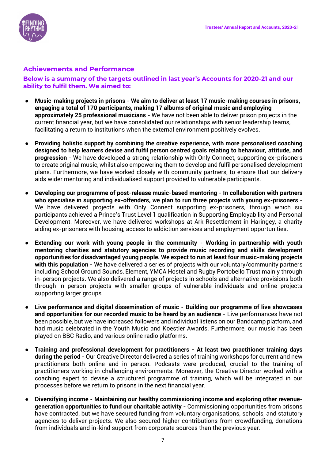

# **Achievements and Performance**

**Below is a summary of the targets outlined in last year's Accounts for 2020-21 and our ability to fulfil them. We aimed to:**

- **Music-making projects in prisons - We aim to deliver at least 17 music-making courses in prisons, engaging a total of 170 participants, making 17 albums of original music and employing approximately 25 professional musicians** - We have not been able to deliver prison projects in the current financial year, but we have consolidated our relationships with senior leadership teams, facilitating a return to institutions when the external environment positively evolves.
- **Providing holistic support by combining the creative experience, with more personalised coaching designed to help learners devise and fulfil person centred goals relating to behaviour, attitude, and progression** - We have developed a strong relationship with Only Connect, supporting ex-prisoners to create original music, whilst also empowering them to develop and fulfil personalised development plans. Furthermore, we have worked closely with community partners, to ensure that our delivery aids wider mentoring and individualised support provided to vulnerable participants.
- **Developing our programme of post-release music-based mentoring - In collaboration with partners who specialise in supporting ex-offenders, we plan to run three projects with young ex-prisoners** - We have delivered projects with Only Connect supporting ex-prisoners, through which six participants achieved a Prince's Trust Level 1 qualification in Supporting Employability and Personal Development. Moreover, we have delivered workshops at Ark Resettlement in Haringey, a charity aiding ex-prisoners with housing, access to addiction services and employment opportunities.
- **Extending our work with young people in the community - Working in partnership with youth mentoring charities and statutory agencies to provide music recording and skills development opportunities for disadvantaged young people. We expect to run at least four music-making projects with this population** - We have delivered a series of projects with our voluntary/community partners including School Ground Sounds, Element, YMCA Hostel and Rugby Portobello Trust mainly through in-person projects. We also delivered a range of projects in schools and alternative provisions both through in person projects with smaller groups of vulnerable individuals and online projects supporting larger groups.
- **Live performance and digital dissemination of music - Building our programme of live showcases and opportunities for our recorded music to be heard by an audience** - Live performances have not been possible, but we have increased followers and individual listens on our Bandcamp platform, and had music celebrated in the Youth Music and Koestler Awards. Furthermore, our music has been played on BBC Radio, and various online radio platforms.
- **Training and professional development for practitioners - At least two practitioner training days during the period** - Our Creative Director delivered a series of training workshops for current and new practitioners both online and in person. Podcasts were produced, crucial to the training of practitioners working in challenging environments. Moreover, the Creative Director worked with a coaching expert to devise a structured programme of training, which will be integrated in our processes before we return to prisons in the next financial year.
- **Diversifying income - Maintaining our healthy commissioning income and exploring other revenuegeneration opportunities to fund our charitable activity** - Commissioning opportunities from prisons have contracted, but we have secured funding from voluntary organisations, schools, and statutory agencies to deliver projects. We also secured higher contributions from crowdfunding, donations from individuals and in-kind support from corporate sources than the previous year.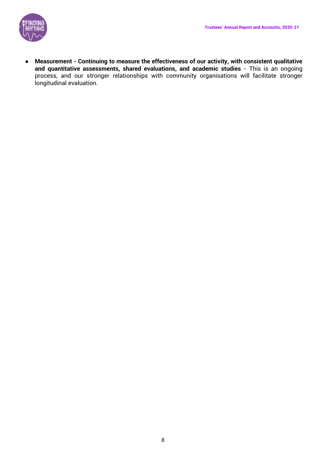

● **Measurement - Continuing to measure the effectiveness of our activity, with consistent qualitative and quantitative assessments, shared evaluations, and academic studies** - This is an ongoing process, and our stronger relationships with community organisations will facilitate stronger longitudinal evaluation.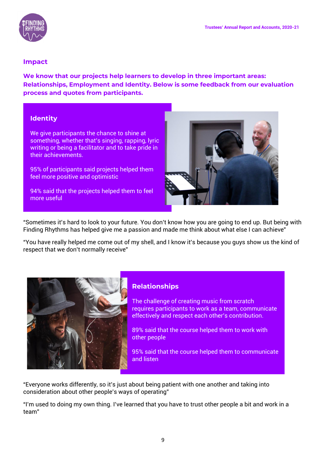

# **Impact**

**We know that our projects help learners to develop in three important areas: Relationships, Employment and Identity. Below is some feedback from our evaluation process and quotes from participants.** 

# **Identity**

We give participants the chance to shine at something, whether that's singing, rapping, lyric writing or being a facilitator and to take pride in their achievements.

95% of participants said projects helped them feel more positive and optimistic

94% said that the projects helped them to feel more useful



"Sometimes it's hard to look to your future. You don't know how you are going to end up. But being with Finding Rhythms has helped give me a passion and made me think about what else I can achieve"

"You have really helped me come out of my shell, and I know it's because you guys show us the kind of respect that we don't normally receive"



# **Relationships**

The challenge of creating music from scratch requires participants to work as a team, communicate effectively and respect each other's contribution.

89% said that the course helped them to work with other people

95% said that the course helped them to communicate and listen

"Everyone works differently, so it's just about being patient with one another and taking into consideration about other people's ways of operating"

"I'm used to doing my own thing. I've learned that you have to trust other people a bit and work in a team"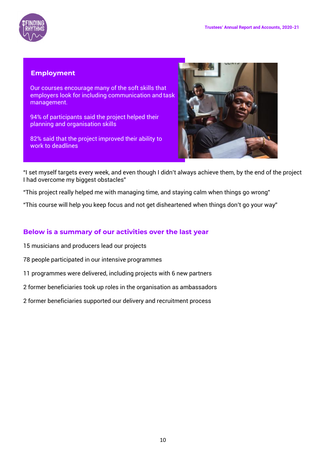

# **Employment**

Our courses encourage many of the soft skills that employers look for including communication and task management.

94% of participants said the project helped their planning and organisation skills

82% said that the project improved their ability to work to deadlines



"I set myself targets every week, and even though I didn't always achieve them, by the end of the project I had overcome my biggest obstacles"

"This project really helped me with managing time, and staying calm when things go wrong"

"This course will help you keep focus and not get disheartened when things don't go your way"

# **Below is a summary of our activities over the last year**

- 15 musicians and producers lead our projects
- 78 people participated in our intensive programmes
- 11 programmes were delivered, including projects with 6 new partners
- 2 former beneficiaries took up roles in the organisation as ambassadors
- 2 former beneficiaries supported our delivery and recruitment process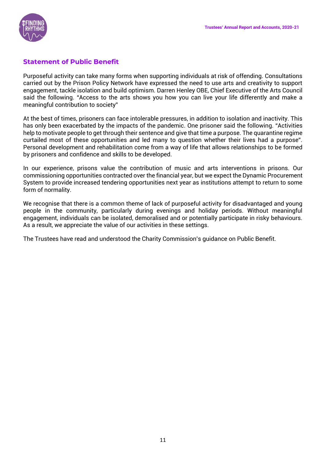

# **Statement of Public Benefit**

Purposeful activity can take many forms when supporting individuals at risk of offending. Consultations carried out by the Prison Policy Network have expressed the need to use arts and creativity to support engagement, tackle isolation and build optimism. Darren Henley OBE, Chief Executive of the Arts Council said the following. "Access to the arts shows you how you can live your life differently and make a meaningful contribution to society"

At the best of times, prisoners can face intolerable pressures, in addition to isolation and inactivity. This has only been exacerbated by the impacts of the pandemic. One prisoner said the following. "Activities help to motivate people to get through their sentence and give that time a purpose. The quarantine regime curtailed most of these opportunities and led many to question whether their lives had a purpose". Personal development and rehabilitation come from a way of life that allows relationships to be formed by prisoners and confidence and skills to be developed.

In our experience, prisons value the contribution of music and arts interventions in prisons. Our commissioning opportunities contracted over the financial year, but we expect the Dynamic Procurement System to provide increased tendering opportunities next year as institutions attempt to return to some form of normality.

We recognise that there is a common theme of lack of purposeful activity for disadvantaged and young people in the community, particularly during evenings and holiday periods. Without meaningful engagement, individuals can be isolated, demoralised and or potentially participate in risky behaviours. As a result, we appreciate the value of our activities in these settings.

The Trustees have read and understood the Charity Commission's guidance on Public Benefit.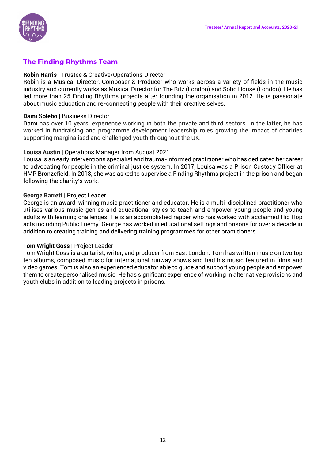

# **The Finding Rhythms Team**

## **Robin Harris** | Trustee & Creative/Operations Director

Robin is a Musical Director, Composer & Producer who works across a variety of fields in the music industry and currently works as Musical Director for The Ritz (London) and Soho House (London). He has led more than 25 Finding Rhythms projects after founding the organisation in 2012. He is passionate about music education and re-connecting people with their creative selves.

### **Dami Solebo** | Business Director

Dami has over 10 years' experience working in both the private and third sectors. In the latter, he has worked in fundraising and programme development leadership roles growing the impact of charities supporting marginalised and challenged youth throughout the UK.

### **Louisa Austin** | Operations Manager from August 2021

Louisa is an early interventions specialist and trauma-informed practitioner who has dedicated her career to advocating for people in the criminal justice system. In 2017, Louisa was a Prison Custody Officer at HMP Bronzefield. In 2018, she was asked to supervise a Finding Rhythms project in the prison and began following the charity's work.

### **George Barrett** | Project Leader

George is an award-winning music practitioner and educator. He is a multi-disciplined practitioner who utilises various music genres and educational styles to teach and empower young people and young adults with learning challenges. He is an accomplished rapper who has worked with acclaimed Hip Hop acts including Public Enemy. George has worked in educational settings and prisons for over a decade in addition to creating training and delivering training programmes for other practitioners.

# **Tom Wright Goss** | Project Leader

Tom Wright Goss is a guitarist, writer, and producer from East London. Tom has written music on two top ten albums, composed music for international runway shows and had his music featured in films and video games. Tom is also an experienced educator able to guide and support young people and empower them to create personalised music. He has significant experience of working in alternative provisions and youth clubs in addition to leading projects in prisons.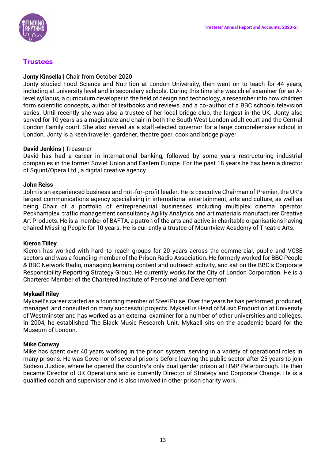

# **Trustees**

# **Jonty Kinsella** | Chair from October 2020

Jonty studied Food Science and Nutrition at London University, then went on to teach for 44 years, including at university level and in secondary schools. During this time she was chief examiner for an Alevel syllabus, a curriculum developer in the field of design and technology, a researcher into how children form scientific concepts, author of textbooks and reviews, and a co-author of a BBC schools television series. Until recently she was also a trustee of her local bridge club, the largest in the UK. Jonty also served for 10 years as a magistrate and chair in both the South West London adult court and the Central London Family court. She also served as a staff-elected governor for a large comprehensive school in London. Jonty is a keen traveller, gardener, theatre goer, cook and bridge player.

### **David Jenkins** | Treasurer

David has had a career in international banking, followed by some years restructuring industrial companies in the former Soviet Union and Eastern Europe. For the past 18 years he has been a director of Squint/Opera Ltd., a digital creative agency.

### **John Reiss**

John is an experienced business and not-for-profit leader. He is Executive Chairman of [Premier](https://www.premiercomms.com/), the UK's largest communications agency specialising in international entertainment, arts and culture, as well as being Chair of a portfolio of entrepreneurial businesses including multiplex cinema operator [Peckhamplex,](http://www.peckhamplex.london/) traffic management consultancy Agility Analytics and art materials manufacturer Creative Art Products. He is a member of BAFTA, a patron of the arts and active in charitable organisations having chaired Missing People for 10 years. He is currently a trustee of Mountview Academy of Theatre Arts.

# **Kieron Tilley**

Kieron has worked with hard-to-reach groups for 20 years across the commercial, public and VCSE sectors and was a founding member of the Prison Radio Association. He formerly worked for BBC People & BBC Network Radio, managing learning content and outreach activity, and sat on the BBC's Corporate Responsibility Reporting Strategy Group. He currently works for the City of London Corporation. He is a Chartered Member of the Chartered Institute of Personnel and Development.

### **Mykaell Riley**

Mykaell's career started as a founding member of Steel Pulse. Over the years he has performed, produced, managed, and consulted on many successful projects. Mykaell is Head of Music Production at University of Westminster and has worked as an external examiner for a number of other universities and colleges. In 2004, he established The Black Music Research Unit. Mykaell sits on the academic board for the Museum of London.

### **Mike Conway**

Mike has spent over 40 years working in the prison system, serving in a variety of operational roles in many prisons. He was Governor of several prisons before leaving the public sector after 25 years to join Sodexo Justice, where he opened the country's only dual gender prison at HMP Peterborough. He then became Director of UK Operations and is currently Director of Strategy and Corporate Change. He is a qualified coach and supervisor and is also involved in other prison charity work.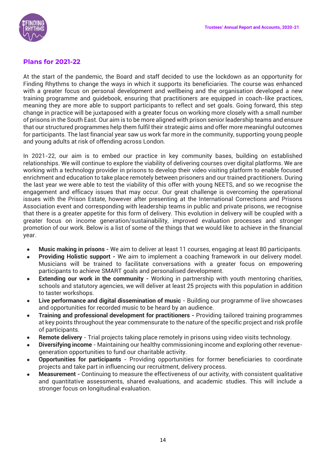

# **Plans for 2021-22**

At the start of the pandemic, the Board and staff decided to use the lockdown as an opportunity for Finding Rhythms to change the ways in which it supports its beneficiaries. The course was enhanced with a greater focus on personal development and wellbeing and the organisation developed a new training programme and guidebook, ensuring that practitioners are equipped in coach-like practices, meaning they are more able to support participants to reflect and set goals. Going forward, this step change in practice will be juxtaposed with a greater focus on working more closely with a small number of prisons in the South East. Our aim is to be more aligned with prison senior leadership teams and ensure that our structured programmes help them fulfil their strategic aims and offer more meaningful outcomes for participants. The last financial year saw us work far more in the community, supporting young people and young adults at risk of offending across London.

In 2021-22, our aim is to embed our practice in key community bases, building on established relationships. We will continue to explore the viability of delivering courses over digital platforms. We are working with a technology provider in prisons to develop their video visiting platform to enable focused enrichment and education to take place remotely between prisoners and our trained practitioners. During the last year we were able to test the viability of this offer with young NEETS, and so we recognise the engagement and efficacy issues that may occur. Our great challenge is overcoming the operational issues with the Prison Estate, however after presenting at the International Corrections and Prisons Association event and corresponding with leadership teams in public and private prisons, we recognise that there is a greater appetite for this form of delivery. This evolution in delivery will be coupled with a greater focus on income generation/sustainability, improved evaluation processes and stronger promotion of our work. Below is a list of some of the things that we would like to achieve in the financial year.

- **Music making in prisons -** We aim to deliver at least 11 courses, engaging at least 80 participants.
- **Providing Holistic support -** We aim to implement a coaching framework in our delivery model. Musicians will be trained to facilitate conversations with a greater focus on empowering participants to achieve SMART goals and personalised development.
- **Extending our work in the community -** Working in partnership with youth mentoring charities, schools and statutory agencies, we will deliver at least 25 projects with this population in addition to taster workshops.
- **Live performance and digital dissemination of music** Building our programme of live showcases and opportunities for recorded music to be heard by an audience.
- **Training and professional development for practitioners -** Providing tailored training programmes at key points throughout the year commensurate to the nature of the specific project and risk profile of participants.
- **Remote delivery** Trial projects taking place remotely in prisons using video visits technology.
- **Diversifying income** Maintaining our healthy commissioning income and exploring other revenuegeneration opportunities to fund our charitable activity.
- **Opportunities for participants** Providing opportunities for former beneficiaries to coordinate projects and take part in influencing our recruitment, delivery process.
- **Measurement -** Continuing to measure the effectiveness of our activity, with consistent qualitative and quantitative assessments, shared evaluations, and academic studies. This will include a stronger focus on longitudinal evaluation.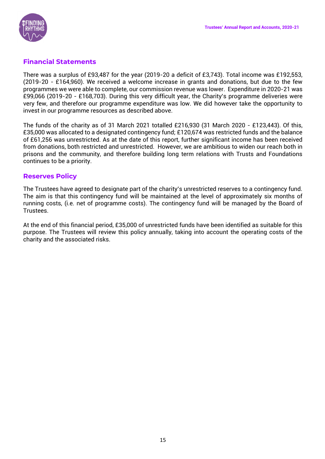

# **Financial Statements**

There was a surplus of £93,487 for the year (2019-20 a deficit of £3,743). Total income was £192,553, (2019-20 - £164,960). We received a welcome increase in grants and donations, but due to the few programmes we were able to complete, our commission revenue was lower. Expenditure in 2020-21 was £99,066 (2019-20 - £168,703). During this very difficult year, the Charity's programme deliveries were very few, and therefore our programme expenditure was low. We did however take the opportunity to invest in our programme resources as described above.

The funds of the charity as of 31 March 2021 totalled £216,930 (31 March 2020 - £123,443). Of this, £35,000 was allocated to a designated contingency fund; £120,674 was restricted funds and the balance of £61,256 was unrestricted. As at the date of this report, further significant income has been received from donations, both restricted and unrestricted. However, we are ambitious to widen our reach both in prisons and the community, and therefore building long term relations with Trusts and Foundations continues to be a priority.

# **Reserves Policy**

The Trustees have agreed to designate part of the charity's unrestricted reserves to a contingency fund. The aim is that this contingency fund will be maintained at the level of approximately six months of running costs, (i.e. net of programme costs). The contingency fund will be managed by the Board of Trustees.

At the end of this financial period, £35,000 of unrestricted funds have been identified as suitable for this purpose. The Trustees will review this policy annually, taking into account the operating costs of the charity and the associated risks.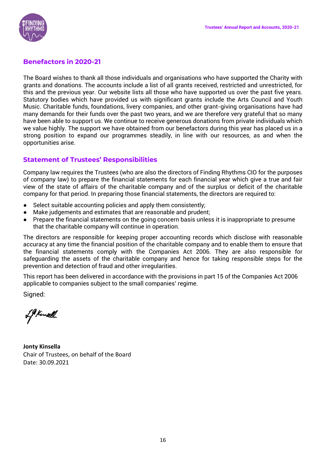

## **Benefactors in 2020-21**

The Board wishes to thank all those individuals and organisations who have supported the Charity with grants and donations. The accounts include a list of all grants received, restricted and unrestricted, for this and the previous year. Our website lists all those who have supported us over the past five years. Statutory bodies which have provided us with significant grants include the Arts Council and Youth Music. Charitable funds, foundations, livery companies, and other grant-giving organisations have had many demands for their funds over the past two years, and we are therefore very grateful that so many have been able to support us. We continue to receive generous donations from private individuals which we value highly. The support we have obtained from our benefactors during this year has placed us in a strong position to expand our programmes steadily, in line with our resources, as and when the opportunities arise.

# **Statement of Trustees' Responsibilities**

Company law requires the Trustees (who are also the directors of Finding Rhythms CIO for the purposes of company law) to prepare the financial statements for each financial year which give a true and fair view of the state of affairs of the charitable company and of the surplus or deficit of the charitable company for that period. In preparing those financial statements, the directors are required to:

- Select suitable accounting policies and apply them consistently;
- Make judgements and estimates that are reasonable and prudent;
- Prepare the financial statements on the going concern basis unless it is inappropriate to presume that the charitable company will continue in operation.

The directors are responsible for keeping proper accounting records which disclose with reasonable accuracy at any time the financial position of the charitable company and to enable them to ensure that the financial statements comply with the Companies Act 2006. They are also responsible for safeguarding the assets of the charitable company and hence for taking responsible steps for the prevention and detection of fraud and other irregularities.

This report has been delivered in accordance with the provisions in part 15 of the Companies Act 2006 applicable to companies subject to the small companies' regime.

Signed:

LJ Kensell

**Jonty Kinsella** Chair of Trustees, on behalf of the Board Date: 30.09.2021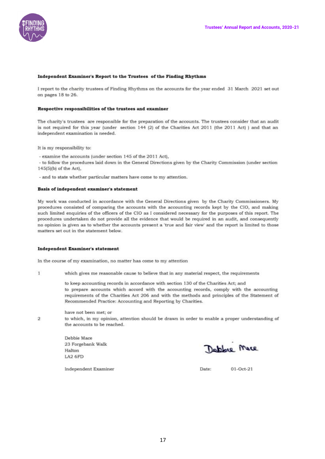

#### Independent Examiner's Report to the Trustees of the Finding Rhythms

I report to the charity trustees of Finding Rhythms on the accounts for the year ended 31 March 2021 set out on pages 18 to 26.

#### Respective responsibilities of the trustees and examiner

The charity's trustees are responsible for the preparation of the accounts. The trustees consider that an audit is not required for this year (under section 144 (2) of the Charities Act 2011 (the 2011 Act) ) and that an independent examination is needed.

It is my responsibility to:

- examine the accounts (under section 145 of the 2011 Act),

- to follow the procedures laid down in the General Directions given by the Charity Commission (under section 145(5)(b) of the Act),

- and to state whether particular matters have come to my attention.

#### **Basis of independent examiner's statement**

My work was conducted in accordance with the General Directions given by the Charity Commissioners. My procedures consisted of comparing the accounts with the accounting records kept by the CIO, and making such limited enquiries of the officers of the CIO as I considered necessary for the purposes of this report. The procedures undertaken do not provide all the evidence that would be required in an audit, and consequently no opinion is given as to whether the accounts present a 'true and fair view' and the report is limited to those matters set out in the statement below.

#### **Independent Examiner's statement**

In the course of my examination, no matter has come to my attention

 $\mathbf{1}$ which gives me reasonable cause to believe that in any material respect, the requirements

> to keep accounting records in accordance with section 130 of the Charities Act; and to prepare accounts which accord with the accounting records, comply with the accounting requirements of the Charities Act 206 and with the methods and principles of the Statement of Recommended Practice: Accounting and Reporting by Charities.

have not been met: or

 $\overline{2}$ 

to which, in my opinion, attention should be drawn in order to enable a proper understanding of the accounts to be reached.

Debbie Mace 23 Forgebank Walk Halton LA2 6FD

Deploye Mace

Independent Examiner

Date:

01-Oct-21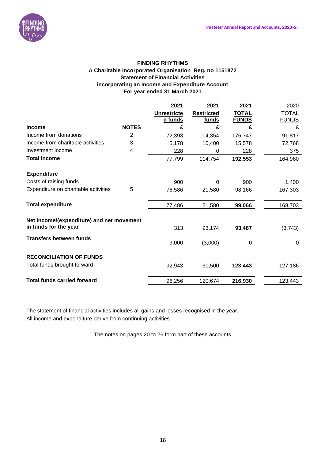

# **FINDING RHYTHMS A Charitable Incorporated Organisation Reg. no 1151872 Statement of Financial Activities incorporating an Income and Expenditure Account For year ended 31 March 2021**

|                                           |                | 2021               | 2021              | 2021         | 2020         |
|-------------------------------------------|----------------|--------------------|-------------------|--------------|--------------|
|                                           |                | <b>Unrestricte</b> | <b>Restricted</b> | <b>TOTAL</b> | <b>TOTAL</b> |
|                                           |                | d funds            | funds             | <b>FUNDS</b> | <b>FUNDS</b> |
| <b>Income</b>                             | <b>NOTES</b>   | £                  | £                 | £            | £            |
| Income from donations                     | $\overline{2}$ | 72,393             | 104,354           | 176,747      | 91,817       |
| Income from charitable activities         | 3              | 5,178              | 10,400            | 15,578       | 72,768       |
| Investment income                         | 4              | 228                | 0                 | 228          | 375          |
| <b>Total Income</b>                       |                | 77,799             | 114,754           | 192,553      | 164,960      |
| <b>Expenditure</b>                        |                |                    |                   |              |              |
| Costs of raising funds                    |                | 900                | 0                 | 900          | 1,400        |
| Expenditure on charitable activities      | 5              | 76,586             | 21,580            | 98,166       | 167,303      |
| <b>Total expenditure</b>                  |                | 77,486             | 21,580            | 99,066       | 168,703      |
| Net Income/(expenditure) and net movement |                |                    |                   |              |              |
| in funds for the year                     |                | 313                | 93,174            | 93,487       | (3,743)      |
| <b>Transfers between funds</b>            |                | 3,000              | (3,000)           | $\bf{0}$     | $\mathbf{0}$ |
| <b>RECONCILIATION OF FUNDS</b>            |                |                    |                   |              |              |
| Total funds brought forward               |                | 92,943             | 30,500            | 123,443      | 127,186      |
| <b>Total funds carried forward</b>        |                | 96,256             | 120,674           | 216,930      | 123,443      |

The statement of financial activities includes all gains and losses recognised in the year. All income and expenditure derive from continuing activities.

The notes on pages 20 to 26 form part of these accounts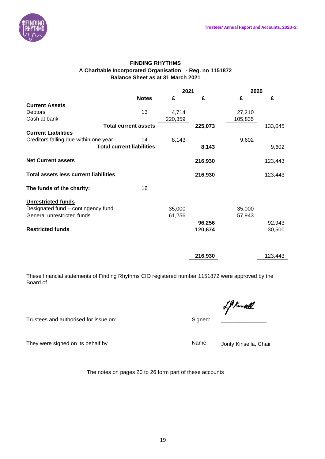### **FINDING RHYTHMS A Charitable Incorporated Organisation - Reg. no 1151872 Balance Sheet as at 31 March 2021**

|                                              |                                  | 2021                     |         | 2020    |         |
|----------------------------------------------|----------------------------------|--------------------------|---------|---------|---------|
|                                              | <b>Notes</b>                     | $\underline{\mathbf{f}}$ | £       | £       | £       |
| <b>Current Assets</b>                        |                                  |                          |         |         |         |
| Debtors                                      | 13                               | 4,714                    |         | 27,210  |         |
| Cash at bank                                 |                                  | 220,359                  |         | 105,835 |         |
|                                              | <b>Total current assets</b>      |                          | 225,073 |         | 133,045 |
| <b>Current Liabilities</b>                   |                                  |                          |         |         |         |
| Creditors falling due within one year        | 14                               | 8,143                    |         | 9,602   |         |
|                                              | <b>Total current liabilities</b> |                          | 8,143   |         | 9,602   |
| <b>Net Current assets</b>                    |                                  |                          | 216,930 |         | 123,443 |
| <b>Total assets less current liabilities</b> |                                  |                          | 216,930 |         | 123,443 |
|                                              |                                  |                          |         |         |         |
| The funds of the charity:                    | 16                               |                          |         |         |         |
| <b>Unrestricted funds</b>                    |                                  |                          |         |         |         |
| Designated fund - contingency fund           |                                  | 35,000                   |         | 35,000  |         |
| General unrestricted funds                   |                                  | 61,256                   |         | 57,943  |         |
|                                              |                                  |                          | 96,256  |         | 92,943  |
| <b>Restricted funds</b>                      |                                  |                          | 120,674 |         | 30,500  |
|                                              |                                  |                          |         |         |         |
|                                              |                                  |                          |         |         |         |
|                                              |                                  |                          | 216,930 |         | 123,443 |

These financial statements of Finding Rhythms CIO registered number 1151872 were approved by the Board of

Trustees and authorised for issue on: <br>Signed:

They were signed on its behalf by Name: Jonty Kinsella, Chair

The notes on pages 20 to 26 form part of these accounts

If Kensell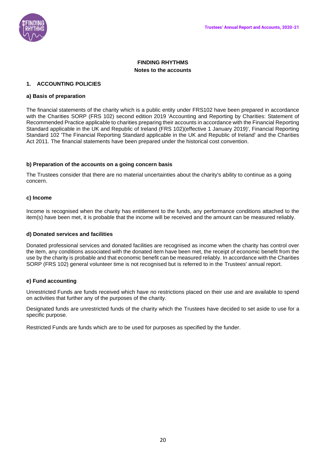

### **1. ACCOUNTING POLICIES**

### **a) Basis of preparation**

The financial statements of the charity which is a public entity under FRS102 have been prepared in accordance with the Charities SORP (FRS 102) second edition 2019 'Accounting and Reporting by Charities: Statement of Recommended Practice applicable to charities preparing their accounts in accordance with the Financial Reporting Standard applicable in the UK and Republic of Ireland (FRS 102)(effective 1 January 2019)', Financial Reporting Standard 102 'The Financial Reporting Standard applicable in the UK and Republic of Ireland' and the Charities Act 2011. The financial statements have been prepared under the historical cost convention.

### **b) Preparation of the accounts on a going concern basis**

The Trustees consider that there are no material uncertainties about the charity's ability to continue as a going concern.

### **c) Income**

Income is recognised when the charity has entitlement to the funds, any performance conditions attached to the item(s) have been met, it is probable that the income will be received and the amount can be measured reliably.

### **d) Donated services and facilities**

Donated professional services and donated facilities are recognised as income when the charity has control over the item, any conditions associated with the donated item have been met, the receipt of economic benefit from the use by the charity is probable and that economic benefit can be measured reliably. In accordance with the Charities SORP (FRS 102) general volunteer time is not recognised but is referred to in the Trustees' annual report.

### **e) Fund accounting**

Unrestricted Funds are funds received which have no restrictions placed on their use and are available to spend on activities that further any of the purposes of the charity.

Designated funds are unrestricted funds of the charity which the Trustees have decided to set aside to use for a specific purpose.

Restricted Funds are funds which are to be used for purposes as specified by the funder.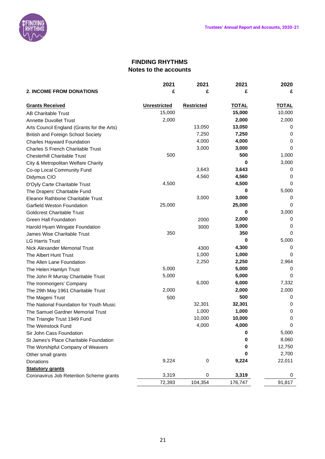

|                                            | 2021                | 2021              | 2021         | 2020         |
|--------------------------------------------|---------------------|-------------------|--------------|--------------|
| <b>2. INCOME FROM DONATIONS</b>            | £                   | £                 | £            | £            |
| <b>Grants Received</b>                     | <b>Unrestricted</b> | <b>Restricted</b> | <b>TOTAL</b> | <b>TOTAL</b> |
| <b>AB Charitable Trust</b>                 | 15,000              |                   | 15,000       | 10,000       |
| <b>Annette Duvollet Trust</b>              | 2,000               |                   | 2,000        | 2,000        |
| Arts Council England (Grants for the Arts) |                     | 13,050            | 13,050       | 0            |
| <b>British and Foreign School Society</b>  |                     | 7,250             | 7,250        | 0            |
| <b>Charles Hayward Foundation</b>          |                     | 4,000             | 4,000        | 0            |
| <b>Charles S French Charitable Trust</b>   |                     | 3,000             | 3,000        | 0            |
| <b>Chesterhill Charitable Trust</b>        | 500                 |                   | 500          | 1,000        |
| City & Metropolitan Welfare Charity        |                     |                   | 0            | 3,000        |
| Co-op Local Community Fund                 |                     | 3,643             | 3,643        | 0            |
| Didymus CIO                                |                     | 4,560             | 4,560        | 0            |
| D'Oyly Carte Charitable Trust              | 4,500               |                   | 4,500        | 0            |
| The Drapers' Charitable Fund               |                     |                   | 0            | 5,000        |
| Eleanor Rathbone Charitable Trust          |                     | 3,000             | 3,000        | 0            |
| <b>Garfield Weston Foundation</b>          | 25,000              |                   | 25,000       | 0            |
| <b>Goldcrest Charitable Trust</b>          |                     |                   | 0            | 3,000        |
| <b>Green Hall Foundation</b>               |                     | 2000              | 2,000        | 0            |
| Harold Hyam Wingate Foundation             |                     | 3000              | 3,000        | 0            |
| James Wise Charitable Trust                | 350                 |                   | 350          | 0            |
| <b>LG Harris Trust</b>                     |                     |                   | 0            | 5,000        |
| Nick Alexander Memorial Trust              |                     | 4300              | 4,300        | 0            |
| The Albert Hunt Trust                      |                     | 1,000             | 1,000        | 0            |
| The Allen Lane Foundation                  |                     | 2,250             | 2,250        | 2,964        |
| The Helen Hamlyn Trust                     | 5,000               |                   | 5,000        | 0            |
| The John R Murray Charitable Trust         | 5,000               |                   | 5,000        | 0            |
| The Ironmongers' Company                   |                     | 6,000             | 6,000        | 7,332        |
| The 29th May 1961 Charitable Trust         | 2,000               |                   | 2,000        | 2,000        |
| The Mageni Trust                           | 500                 |                   | 500          | 0            |
| The National Foundation for Youth Music    |                     | 32,301            | 32,301       | 0            |
| The Samuel Gardner Memorial Trust          |                     | 1,000             | 1,000        | 0            |
| The Triangle Trust 1949 Fund               |                     | 10,000            | 10,000       | 0            |
| The Weinstock Fund                         |                     | 4,000             | 4,000        | 0            |
| Sir John Cass Foundation                   |                     |                   | 0            | 5,000        |
| St James's Place Charitable Foundation     |                     |                   | 0            | 8,060        |
| The Worshipful Company of Weavers          |                     |                   | 0            | 12,750       |
| Other small grants                         |                     |                   | O            | 2,700        |
| Donations                                  | 9,224               | 0                 | 9,224        | 22,011       |
| <b>Statutory grants</b>                    |                     |                   |              |              |
| Coronavirus Job Retention Scheme grants    | 3,319               | 0                 | 3,319        | 0            |
|                                            | 72,393              | 104,354           | 176,747      | 91,817       |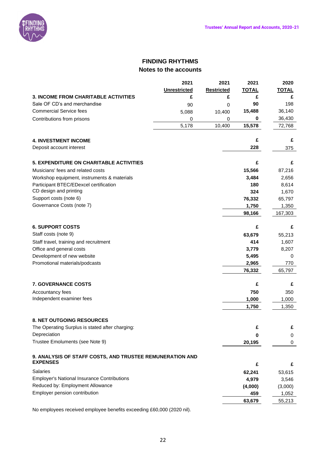|                                                          | 2021                | 2021              | 2021         | 2020         |
|----------------------------------------------------------|---------------------|-------------------|--------------|--------------|
|                                                          | <b>Unrestricted</b> | <b>Restricted</b> | <b>TOTAL</b> | <b>TOTAL</b> |
| <b>3. INCOME FROM CHARITABLE ACTIVITIES</b>              | £                   | £                 | £            | £            |
| Sale OF CD's and merchandise                             | 90                  | 0                 | 90           | 198          |
| <b>Commercial Service fees</b>                           | 5,088               | 10,400            | 15,488       | 36,140       |
| Contributions from prisons                               | 0                   | 0                 | 0            | 36,430       |
|                                                          | 5,178               | 10,400            | 15,578       | 72,768       |
| <b>4. INVESTMENT INCOME</b>                              |                     |                   | £            | £            |
| Deposit account interest                                 |                     |                   | 228          | 375          |
| 5. EXPENDITURE ON CHARITABLE ACTIVITIES                  |                     |                   | £            | £            |
| Musicians' fees and related costs                        |                     |                   | 15,566       | 87,216       |
| Workshop equipment, instruments & materials              |                     |                   | 3,484        | 2,656        |
| Participant BTEC/EDexcel certification                   |                     |                   | 180          | 8,614        |
| CD design and printing                                   |                     |                   | 324          | 1,670        |
| Support costs (note 6)                                   |                     |                   | 76,332       | 65,797       |
| Governance Costs (note 7)                                |                     |                   | 1,750        | 1,350        |
|                                                          |                     |                   | 98,166       | 167,303      |
| <b>6. SUPPORT COSTS</b>                                  |                     |                   | £            | £            |
| Staff costs (note 9)                                     |                     |                   | 63,679       | 55,213       |
| Staff travel, training and recruitment                   |                     |                   | 414          | 1,607        |
| Office and general costs                                 |                     |                   | 3,779        | 8,207        |
| Development of new website                               |                     |                   | 5,495        | 0            |
| Promotional materials/podcasts                           |                     |                   | 2,965        | 770          |
|                                                          |                     |                   | 76,332       | 65,797       |
| <b>7. GOVERNANCE COSTS</b>                               |                     |                   | £            | £            |
| Accountancy fees                                         |                     |                   | 750          | 350          |
| Independent examiner fees                                |                     |                   | 1,000        | 1,000        |
|                                                          |                     |                   | 1,750        | 1,350        |
| <b>8. NET OUTGOING RESOURCES</b>                         |                     |                   |              |              |
| The Operating Surplus is stated after charging:          |                     |                   | £            | £            |
| Depreciation                                             |                     |                   | 0            | 0            |
| Trustee Emoluments (see Note 9)                          |                     |                   | 20,195       | 0            |
| 9. ANALYSIS OF STAFF COSTS, AND TRUSTEE REMUNERATION AND |                     |                   |              |              |
| <b>EXPENSES</b>                                          |                     |                   | £            | £            |
| <b>Salaries</b>                                          |                     |                   | 62,241       | 53,615       |
| <b>Employer's National Insurance Contributions</b>       |                     |                   | 4,979        | 3,546        |
| Reduced by: Employment Allowance                         |                     |                   | (4,000)      | (3,000)      |
| Employer pension contribution                            |                     |                   | 459          | 1,052        |
|                                                          |                     |                   | 63,679       | 55,213       |

No employees received employee benefits exceeding £60,000 (2020 nil).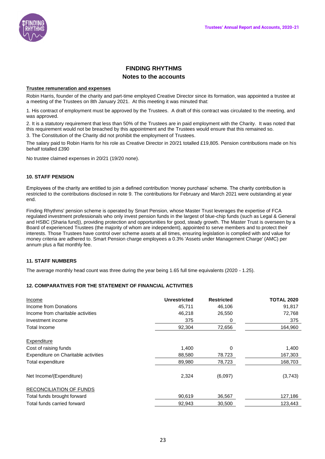

#### **Trustee remuneration and expenses**

Robin Harris, founder of the charity and part-time employed Creative Director since its formation, was appointed a trustee at a meeting of the Trustees on 8th January 2021. At this meeting it was minuted that:

1. His contract of employment must be approved by the Trustees. A draft of this contract was circulated to the meeting, and was approved.

2. It is a statutory requirement that less than 50% of the Trustees are in paid employment with the Charity. It was noted that this requirement would not be breached by this appointment and the Trustees would ensure that this remained so.

3. The Constitution of the Charity did not prohibit the employment of Trustees.

The salary paid to Robin Harris for his role as Creative Director in 20/21 totalled £19,805. Pension contributions made on his behalf totalled £390

No trustee claimed expenses in 20/21 (19/20 none).

#### **10. STAFF PENSION**

Employees of the charity are entitled to join a defined contribution 'money purchase' scheme. The charity contribution is restricted to the contributions disclosed in note 9. The contributions for February and March 2021 were outstanding at year end.

Finding Rhythms' pension scheme is operated by Smart Pension, whose Master Trust leverages the expertise of FCA regulated investment professionals who only invest pension funds in the largest of blue-chip funds (such as Legal & General and HSBC (Sharia fund)), providing protection and opportunities for good, steady growth. The Master Trust is overseen by a Board of experienced Trustees (the majority of whom are independent), appointed to serve members and to protect their interests. Those Trustees have control over scheme assets at all times, ensuring legislation is complied with and value for money criteria are adhered to. Smart Pension charge employees a 0.3% 'Assets under Management Charge' (AMC) per annum plus a flat monthly fee.

#### **11. STAFF NUMBERS**

The average monthly head count was three during the year being 1.65 full time equivalents (2020 - 1.25).

#### **12. COMPARATIVES FOR THE STATEMENT OF FINANCIAL ACTIVITIES**

| Income                               | <b>Unrestricted</b> | <b>Restricted</b> | <b>TOTAL 2020</b> |
|--------------------------------------|---------------------|-------------------|-------------------|
| Income from Donations                | 45,711              | 46,106            | 91,817            |
| Income from charitable activities    | 46,218              | 26,550            | 72,768            |
| Investment income                    | 375                 | 0                 | 375               |
| Total Income                         | 92,304              | 72,656            | 164,960           |
| Expenditure                          |                     |                   |                   |
| Cost of raising funds                | 1,400               | 0                 | 1,400             |
| Expenditure on Charitable activities | 88,580              | 78.723            | 167,303           |
| Total expenditure                    | 89,980              | 78,723            | 168,703           |
| Net Income/(Expenditure)             | 2,324               | (6,097)           | (3,743)           |
| <b>RECONCILIATION OF FUNDS</b>       |                     |                   |                   |
| Total funds brought forward          | 90,619              | 36,567            | 127,186           |
| Total funds carried forward          | 92,943              | 30,500            | 123,443           |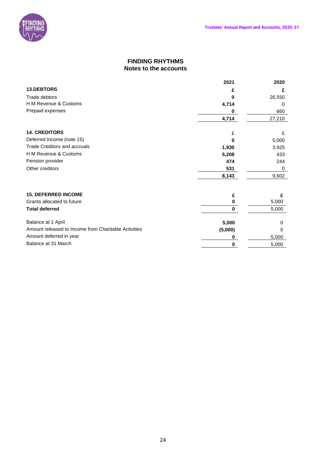

|                                                      | 2021     | 2020     |
|------------------------------------------------------|----------|----------|
| <b>13.DEBTORS</b>                                    | £        | £        |
| Trade debtors                                        | 0        | 26,550   |
| H M Revenue & Customs                                | 4,714    | 0        |
| Prepaid expenses                                     | 0        | 660      |
|                                                      | 4,714    | 27,210   |
| <b>14. CREDITORS</b>                                 | £        | £        |
| Deferred Income (note 15)                            | 0        | 5,000    |
| <b>Trade Creditors and accruals</b>                  | 1,930    | 3,925    |
| H M Revenue & Customs                                | 5,208    | 433      |
| Pension provider                                     | 474      | 244      |
| Other creditors                                      | 531      | 0        |
|                                                      | 8,143    | 9,602    |
| <b>15. DEFERRED INCOME</b>                           | £        | £        |
| Grants allocated to future                           | $\bf{0}$ | 5,000    |
| <b>Total deferred</b>                                | 0        | 5,000    |
| Balance at 1 April                                   | 5,000    | $\Omega$ |
| Amount released to Income from Charitable Activities | (5,000)  | $\Omega$ |
| Amount deferred in year                              | 0        | 5,000    |
| Balance at 31 March                                  | $\bf{0}$ | 5,000    |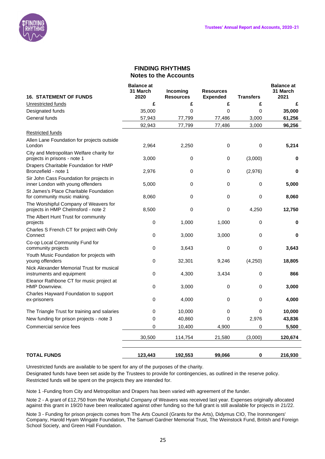

| <b>16. STATEMENT OF FUNDS</b>                                                 | <b>Balance at</b><br>31 March<br>2020 | Incoming<br><b>Resources</b> | <b>Resources</b><br><b>Expended</b> | <b>Transfers</b> | <b>Balance at</b><br>31 March<br>2021 |
|-------------------------------------------------------------------------------|---------------------------------------|------------------------------|-------------------------------------|------------------|---------------------------------------|
| Unrestricted funds                                                            | £                                     | £                            | £                                   | £                | £                                     |
| Designated funds                                                              | 35,000                                | 0                            | 0                                   | 0                | 35,000                                |
| General funds                                                                 | 57,943                                | 77,799                       | 77,486                              | 3,000            | 61,256                                |
|                                                                               | 92,943                                | 77,799                       | 77,486                              | 3,000            | 96,256                                |
| <b>Restricted funds</b>                                                       |                                       |                              |                                     |                  |                                       |
| Allen Lane Foundation for projects outside<br>London                          | 2,964                                 | 2,250                        | $\pmb{0}$                           | 0                | 5,214                                 |
| City and Metropolitan Welfare charity for<br>projects in prisons - note 1     | 3,000                                 | 0                            | 0                                   | (3,000)          | 0                                     |
| Drapers Charitable Foundation for HMP<br>Bronzefield - note 1                 | 2,976                                 | 0                            | 0                                   | (2,976)          | 0                                     |
| Sir John Cass Foundation for projects in<br>inner London with young offenders | 5,000                                 | 0                            | 0                                   | 0                | 5,000                                 |
| St James's Place Charitable Foundation<br>for community music making.         | 8,060                                 | 0                            | 0                                   | 0                | 8,060                                 |
| The Worshipful Company of Weavers for<br>projects in HMP Chelmsford - note 2  | 8,500                                 | 0                            | 0                                   | 4,250            | 12,750                                |
| The Albert Hunt Trust for community<br>projects                               | 0                                     | 1,000                        | 1,000                               | 0                | 0                                     |
| Charles S French CT for project with Only<br>Connect                          | 0                                     | 3,000                        | 3,000                               | 0                | 0                                     |
| Co-op Local Community Fund for<br>community projects                          | 0                                     | 3,643                        | 0                                   | 0                | 3,643                                 |
| Youth Music Foundation for projects with<br>young offenders                   | 0                                     | 32,301                       | 9,246                               | (4,250)          | 18,805                                |
| Nick Alexander Memorial Trust for musical<br>instruments and equipment        | 0                                     | 4,300                        | 3,434                               | 0                | 866                                   |
| Eleanor Rathbone CT for music project at<br><b>HMP Downview.</b>              | 0                                     | 3,000                        | 0                                   | 0                | 3,000                                 |
| Charles Hayward Foundation to support<br>ex-prisoners                         | 0                                     | 4,000                        | 0                                   | 0                | 4,000                                 |
| The Triangle Trust for training and salaries                                  | 0                                     | 10,000                       | 0                                   | 0                | 10,000                                |
| New funding for prison projects - note 3                                      | 0                                     | 40,860                       | 0                                   | 2,976            | 43,836                                |
| Commercial service fees                                                       | 0                                     | 10,400                       | 4,900                               | 0                | 5,500                                 |
|                                                                               | 30,500                                | 114,754                      | 21,580                              | (3,000)          | 120,674                               |
| <b>TOTAL FUNDS</b>                                                            | 123,443                               | 192,553                      | 99,066                              | 0                | 216,930                               |

Unrestricted funds are available to be spent for any of the purposes of the charity.

Designated funds have been set aside by the Trustees to provide for contingencies, as outlined in the reserve policy. Restricted funds will be spent on the projects they are intended for.

Note 1 -Funding from City and Metropolitan and Drapers has been varied with agreement of the funder.

Note 2 - A grant of £12,750 from the Worshipful Company of Weavers was received last year. Expenses originally allocated against this grant in 19/20 have been reallocated against other funding so the full grant is still available for projects in 21/22.

Note 3 - Funding for prison projects comes from The Arts Council (Grants for the Arts), Didymus CIO, The Ironmongers' Company, Harold Hyam Wingate Foundation, The Samuel Gardner Memorial Trust, The Weinstock Fund, British and Foreign School Society, and Green Hall Foundation.